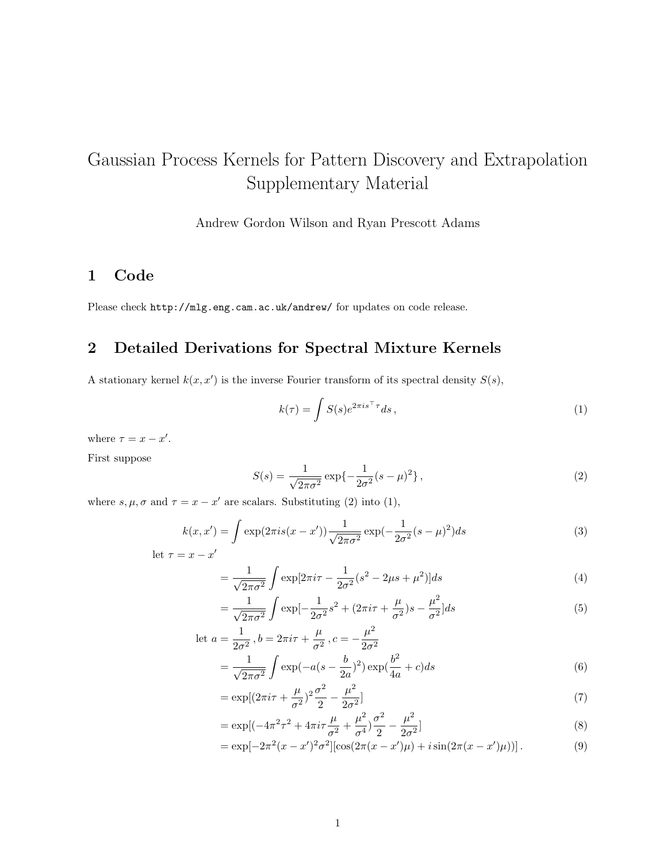# Gaussian Process Kernels for Pattern Discovery and Extrapolation Supplementary Material

Andrew Gordon Wilson and Ryan Prescott Adams

### 1 Code

Please check http://mlg.eng.cam.ac.uk/andrew/ for updates on code release.

## 2 Detailed Derivations for Spectral Mixture Kernels

A stationary kernel  $k(x, x')$  is the inverse Fourier transform of its spectral density  $S(s)$ ,

$$
k(\tau) = \int S(s)e^{2\pi i s^\top \tau} ds,
$$
\n(1)

where  $\tau = x - x'$ .

First suppose

$$
S(s) = \frac{1}{\sqrt{2\pi\sigma^2}} \exp\{-\frac{1}{2\sigma^2}(s-\mu)^2\},\tag{2}
$$

where  $s, \mu, \sigma$  and  $\tau = x - x'$  are scalars. Substituting (2) into (1),

$$
k(x, x') = \int \exp(2\pi i s(x - x')) \frac{1}{\sqrt{2\pi\sigma^2}} \exp(-\frac{1}{2\sigma^2}(s - \mu)^2) ds
$$
(3)  
let  $\tau = x - x'$ 

$$
=\frac{1}{\sqrt{2\pi\sigma^2}}\int \exp[2\pi i\tau - \frac{1}{2\sigma^2}(s^2 - 2\mu s + \mu^2)]ds\tag{4}
$$

$$
= \frac{1}{\sqrt{2\pi\sigma^2}} \int \exp[-\frac{1}{2\sigma^2} s^2 + (2\pi i\tau + \frac{\mu}{\sigma^2})s - \frac{\mu^2}{\sigma^2}]ds
$$
(5)

let 
$$
a = \frac{1}{2\sigma^2}
$$
,  $b = 2\pi i \tau + \frac{\mu}{\sigma^2}$ ,  $c = -\frac{\mu^2}{2\sigma^2}$   
=  $\frac{1}{\sqrt{2\pi i}} \int \exp(-a(s - \frac{b}{2\sigma})^2) \exp(\frac{b^2}{4} + c) ds$  (6)

$$
= \frac{1}{\sqrt{2\pi\sigma^2}} \int \exp(-a(s-\frac{1}{2a})^2) \exp(\frac{1}{4a}+c)ds
$$
  

$$
= \exp[(2\pi i\tau + \frac{\mu}{2})^2 \sigma^2 - \frac{\mu^2}{2}]
$$
 (7)

$$
= \exp\left[(2\pi i\tau + \frac{\mu}{\sigma^2})^2 \frac{\sigma^2}{2} - \frac{\mu}{2\sigma^2}\right]
$$
\n<sup>(7)</sup>

$$
= \exp[(-4\pi^2\tau^2 + 4\pi i\tau \frac{\mu}{\sigma^2} + \frac{\mu^2}{\sigma^4})\frac{\sigma^2}{2} - \frac{\mu^2}{2\sigma^2}]
$$
\n(8)

$$
= \exp[-2\pi^2(x - x')^2 \sigma^2] [\cos(2\pi(x - x')\mu) + i \sin(2\pi(x - x')\mu)] \,. \tag{9}
$$